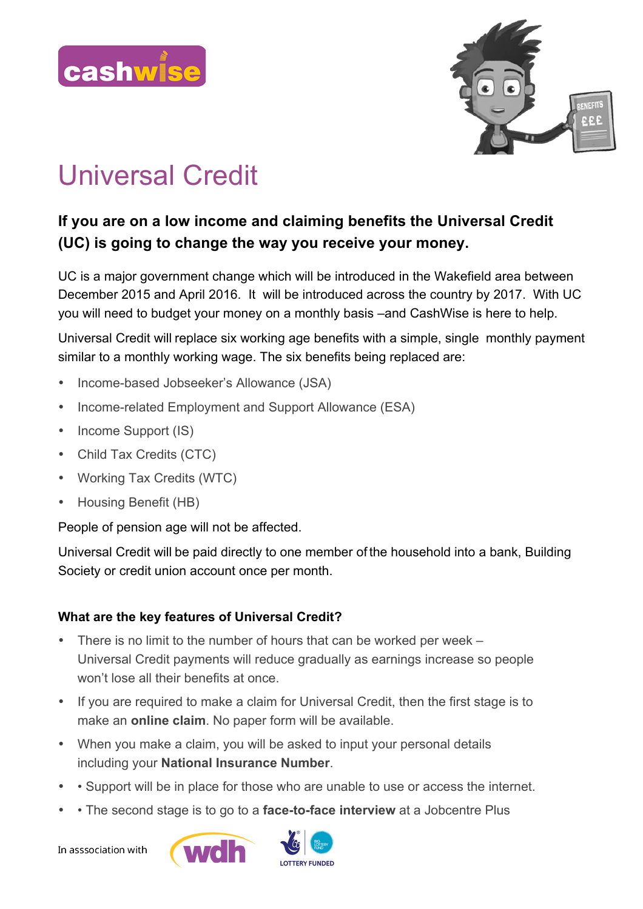



## Universal Credit

## **If you are on a low income and claiming benefits the Universal Credit (UC) is going to change the way you receive your money.**

UC is a major government change which will be introduced in the Wakefield area between December 2015 and April 2016. It will be introduced across the country by 2017. With UC you will need to budget your money on a monthly basis –and CashWise is here to help.

Universal Credit will replace six working age benefits with a simple, single monthly payment similar to a monthly working wage. The six benefits being replaced are:

- Income-based Jobseeker's Allowance (JSA)
- Income-related Employment and Support Allowance (ESA)
- Income Support (IS)
- Child Tax Credits (CTC)
- Working Tax Credits (WTC)
- Housing Benefit (HB)

People of pension age will not be affected.

Universal Credit will be paid directly to one member of the household into a bank, Building Society or credit union account once per month.

## **What are the key features of Universal Credit?**

- There is no limit to the number of hours that can be worked per week Universal Credit payments will reduce gradually as earnings increase so people won't lose all their benefits at once.
- If you are required to make a claim for Universal Credit, then the first stage is to make an **online claim**. No paper form will be available.
- When you make a claim, you will be asked to input your personal details including your **National Insurance Number**.
- • Support will be in place for those who are unable to use or access the internet.
- • The second stage is to go to a **face-to-face interview** at a Jobcentre Plus